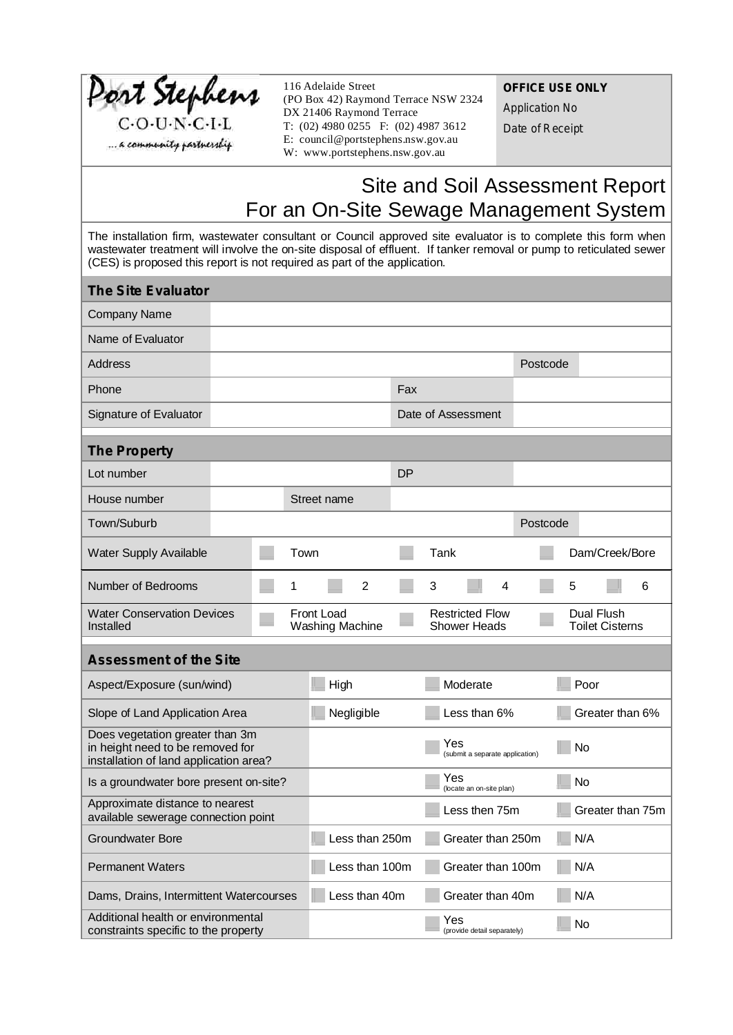| Port Stephens<br>$C-O-U\cdot N\cdot C\cdot I\cdot L$<br>a community pastnerskip                                                                                                                                                                                                                                  |  | 116 Adelaide Street<br>(PO Box 42) Raymond Terrace NSW 2324<br>DX 21406 Raymond Terrace<br>T: $(02)$ 4980 0255 F: $(02)$ 4987 3612<br>E: council@portstephens.nsw.gov.au<br>W: www.portstephens.nsw.gov.au |                |             |                 |                   |                    | <b>OFFICE USE ONLY</b><br><b>Application No</b><br>Date of Receipt |                                               |     |                 |           |      |                                                                            |   |
|------------------------------------------------------------------------------------------------------------------------------------------------------------------------------------------------------------------------------------------------------------------------------------------------------------------|--|------------------------------------------------------------------------------------------------------------------------------------------------------------------------------------------------------------|----------------|-------------|-----------------|-------------------|--------------------|--------------------------------------------------------------------|-----------------------------------------------|-----|-----------------|-----------|------|----------------------------------------------------------------------------|---|
|                                                                                                                                                                                                                                                                                                                  |  |                                                                                                                                                                                                            |                |             |                 |                   |                    |                                                                    |                                               |     |                 |           |      | Site and Soil Assessment Report<br>For an On-Site Sewage Management System |   |
| The installation firm, wastewater consultant or Council approved site evaluator is to complete this form when<br>wastewater treatment will involve the on-site disposal of effluent. If tanker removal or pump to reticulated sewer<br>(CES) is proposed this report is not required as part of the application. |  |                                                                                                                                                                                                            |                |             |                 |                   |                    |                                                                    |                                               |     |                 |           |      |                                                                            |   |
| <b>The Site Evaluator</b>                                                                                                                                                                                                                                                                                        |  |                                                                                                                                                                                                            |                |             |                 |                   |                    |                                                                    |                                               |     |                 |           |      |                                                                            |   |
| <b>Company Name</b>                                                                                                                                                                                                                                                                                              |  |                                                                                                                                                                                                            |                |             |                 |                   |                    |                                                                    |                                               |     |                 |           |      |                                                                            |   |
| Name of Evaluator                                                                                                                                                                                                                                                                                                |  |                                                                                                                                                                                                            |                |             |                 |                   |                    |                                                                    |                                               |     |                 |           |      |                                                                            |   |
| <b>Address</b>                                                                                                                                                                                                                                                                                                   |  |                                                                                                                                                                                                            |                |             |                 |                   |                    |                                                                    |                                               |     | Postcode        |           |      |                                                                            |   |
| Phone                                                                                                                                                                                                                                                                                                            |  |                                                                                                                                                                                                            |                |             |                 | Fax               |                    |                                                                    |                                               |     |                 |           |      |                                                                            |   |
| Signature of Evaluator                                                                                                                                                                                                                                                                                           |  |                                                                                                                                                                                                            |                |             |                 |                   | Date of Assessment |                                                                    |                                               |     |                 |           |      |                                                                            |   |
| <b>The Property</b>                                                                                                                                                                                                                                                                                              |  |                                                                                                                                                                                                            |                |             |                 |                   |                    |                                                                    |                                               |     |                 |           |      |                                                                            |   |
| Lot number                                                                                                                                                                                                                                                                                                       |  |                                                                                                                                                                                                            |                |             |                 | DP                |                    |                                                                    |                                               |     |                 |           |      |                                                                            |   |
| House number                                                                                                                                                                                                                                                                                                     |  |                                                                                                                                                                                                            |                | Street name |                 |                   |                    |                                                                    |                                               |     |                 |           |      |                                                                            |   |
| Town/Suburb                                                                                                                                                                                                                                                                                                      |  |                                                                                                                                                                                                            |                |             |                 |                   |                    |                                                                    |                                               |     | Postcode        |           |      |                                                                            |   |
| <b>Water Supply Available</b>                                                                                                                                                                                                                                                                                    |  |                                                                                                                                                                                                            | Town           |             |                 |                   |                    | Tank                                                               |                                               |     |                 |           |      | Dam/Creek/Bore                                                             |   |
| Number of Bedrooms                                                                                                                                                                                                                                                                                               |  |                                                                                                                                                                                                            | 1              |             | 2               |                   | 3                  |                                                                    |                                               |     |                 |           | 5    |                                                                            | 6 |
| <b>Water Conservation Devices</b><br>Installed                                                                                                                                                                                                                                                                   |  |                                                                                                                                                                                                            |                | Front Load  | Washing Machine |                   |                    |                                                                    | <b>Restricted Flow</b><br><b>Shower Heads</b> |     |                 |           |      | Dual Flush<br><b>Toilet Cisterns</b>                                       |   |
| <b>Assessment of the Site</b>                                                                                                                                                                                                                                                                                    |  |                                                                                                                                                                                                            |                |             |                 |                   |                    |                                                                    |                                               |     |                 |           |      |                                                                            |   |
| Aspect/Exposure (sun/wind)                                                                                                                                                                                                                                                                                       |  |                                                                                                                                                                                                            |                | High        |                 |                   |                    |                                                                    | Moderate                                      |     |                 |           | Poor |                                                                            |   |
| Slope of Land Application Area                                                                                                                                                                                                                                                                                   |  |                                                                                                                                                                                                            | Negligible     |             |                 |                   | Less than 6%       |                                                                    |                                               |     | Greater than 6% |           |      |                                                                            |   |
| Does vegetation greater than 3m<br>in height need to be removed for<br>installation of land application area?                                                                                                                                                                                                    |  |                                                                                                                                                                                                            |                |             |                 |                   | Yes                | (submit a separate application)                                    |                                               |     |                 | No        |      |                                                                            |   |
| Is a groundwater bore present on-site?                                                                                                                                                                                                                                                                           |  |                                                                                                                                                                                                            |                |             |                 |                   | Yes                | (locate an on-site plan)                                           |                                               |     |                 | <b>No</b> |      |                                                                            |   |
| Approximate distance to nearest<br>available sewerage connection point                                                                                                                                                                                                                                           |  |                                                                                                                                                                                                            | Less then 75m  |             |                 |                   | Greater than 75m   |                                                                    |                                               |     |                 |           |      |                                                                            |   |
| <b>Groundwater Bore</b>                                                                                                                                                                                                                                                                                          |  |                                                                                                                                                                                                            | Less than 250m |             |                 |                   | Greater than 250m  |                                                                    |                                               | N/A |                 |           |      |                                                                            |   |
| <b>Permanent Waters</b>                                                                                                                                                                                                                                                                                          |  |                                                                                                                                                                                                            | Less than 100m |             |                 | Greater than 100m |                    |                                                                    |                                               | N/A |                 |           |      |                                                                            |   |
| Dams, Drains, Intermittent Watercourses                                                                                                                                                                                                                                                                          |  |                                                                                                                                                                                                            | Less than 40m  |             |                 |                   | Greater than 40m   |                                                                    |                                               |     | N/A             |           |      |                                                                            |   |
| Additional health or environmental<br>constraints specific to the property                                                                                                                                                                                                                                       |  |                                                                                                                                                                                                            |                |             |                 |                   |                    | Yes                                                                | (provide detail separately)                   |     |                 |           | No   |                                                                            |   |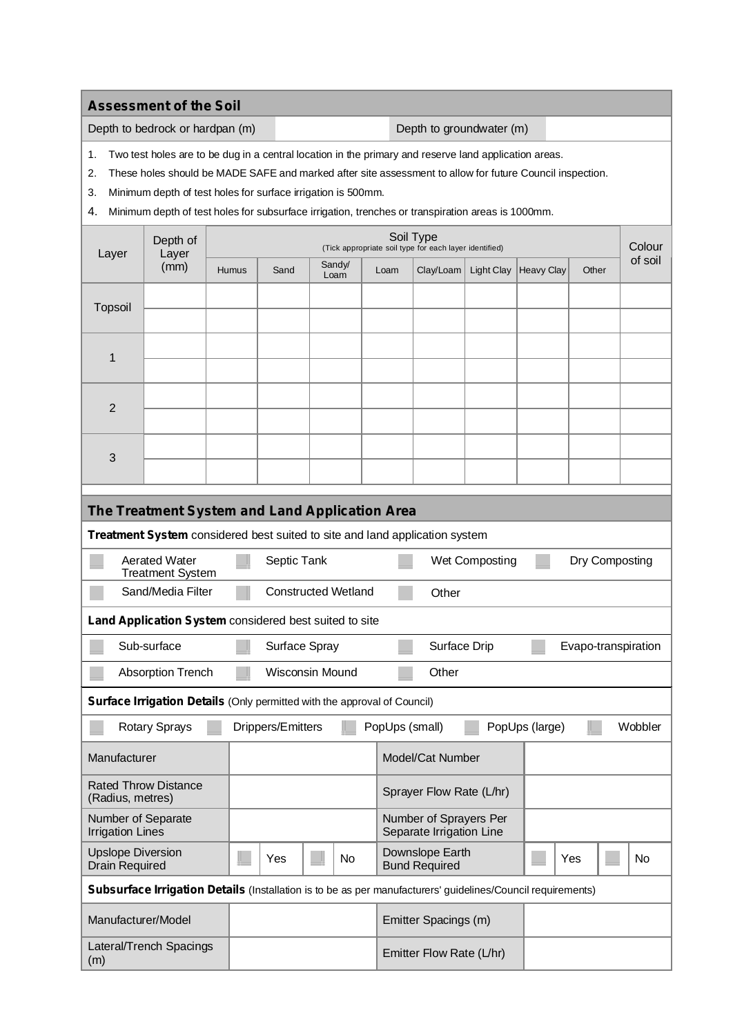**Assessment of the Soil**

Depth to bedrock or hardpan (m) Depth to groundwater (m)

1. Two test holes are to be dug in a central location in the primary and reserve land application areas.

2. These holes should be MADE SAFE and marked after site assessment to allow for future Council inspection.

3. Minimum depth of test holes for surface irrigation is 500mm.

4. Minimum depth of test holes for subsurface irrigation, trenches or transpiration areas is 1000mm.

| Layer                                                                                                       | Depth of<br>Layer |       | Soil Type<br>(Tick appropriate soil type for each layer identified) |                          |                |                                         |                                                    |            |                   |                     |           | Colour  |
|-------------------------------------------------------------------------------------------------------------|-------------------|-------|---------------------------------------------------------------------|--------------------------|----------------|-----------------------------------------|----------------------------------------------------|------------|-------------------|---------------------|-----------|---------|
|                                                                                                             | (mm)              | Humus | Sand                                                                |                          | Sandy/<br>Loam | Loam                                    | Clay/Loam                                          | Light Clay | <b>Heavy Clay</b> | Other               |           | of soil |
| <b>Topsoil</b>                                                                                              |                   |       |                                                                     |                          |                |                                         |                                                    |            |                   |                     |           |         |
|                                                                                                             |                   |       |                                                                     |                          |                |                                         |                                                    |            |                   |                     |           |         |
| 1                                                                                                           |                   |       |                                                                     |                          |                |                                         |                                                    |            |                   |                     |           |         |
|                                                                                                             |                   |       |                                                                     |                          |                |                                         |                                                    |            |                   |                     |           |         |
| 2                                                                                                           |                   |       |                                                                     |                          |                |                                         |                                                    |            |                   |                     |           |         |
|                                                                                                             |                   |       |                                                                     |                          |                |                                         |                                                    |            |                   |                     |           |         |
| 3                                                                                                           |                   |       |                                                                     |                          |                |                                         |                                                    |            |                   |                     |           |         |
|                                                                                                             |                   |       |                                                                     |                          |                |                                         |                                                    |            |                   |                     |           |         |
| The Treatment System and Land Application Area                                                              |                   |       |                                                                     |                          |                |                                         |                                                    |            |                   |                     |           |         |
| Treatment System considered best suited to site and land application system                                 |                   |       |                                                                     |                          |                |                                         |                                                    |            |                   |                     |           |         |
| <b>Aerated Water</b><br>Septic Tank<br>Dry Composting<br>Wet Composting<br><b>Treatment System</b>          |                   |       |                                                                     |                          |                |                                         |                                                    |            |                   |                     |           |         |
| Sand/Media Filter<br><b>Constructed Wetland</b><br>Other                                                    |                   |       |                                                                     |                          |                |                                         |                                                    |            |                   |                     |           |         |
| Land Application System considered best suited to site                                                      |                   |       |                                                                     |                          |                |                                         |                                                    |            |                   |                     |           |         |
| Sub-surface                                                                                                 |                   |       | Surface Spray                                                       |                          |                |                                         | Surface Drip                                       |            |                   | Evapo-transpiration |           |         |
| <b>Wisconsin Mound</b><br>Other<br><b>Absorption Trench</b>                                                 |                   |       |                                                                     |                          |                |                                         |                                                    |            |                   |                     |           |         |
| Surface Irrigation Details (Only permitted with the approval of Council)                                    |                   |       |                                                                     |                          |                |                                         |                                                    |            |                   |                     |           |         |
| <b>Rotary Sprays</b>                                                                                        |                   |       | PopUps (large)<br>Drippers/Emitters<br>PopUps (small)               |                          |                |                                         |                                                    |            |                   |                     | Wobbler   |         |
| Manufacturer                                                                                                |                   |       |                                                                     | Model/Cat Number         |                |                                         |                                                    |            |                   |                     |           |         |
| <b>Rated Throw Distance</b><br>(Radius, metres)                                                             |                   |       |                                                                     | Sprayer Flow Rate (L/hr) |                |                                         |                                                    |            |                   |                     |           |         |
| Number of Separate<br><b>Irrigation Lines</b>                                                               |                   |       |                                                                     |                          |                |                                         | Number of Sprayers Per<br>Separate Irrigation Line |            |                   |                     |           |         |
| <b>Upslope Diversion</b><br>Yes<br><b>Drain Required</b>                                                    |                   |       |                                                                     | No                       |                | Downslope Earth<br><b>Bund Required</b> |                                                    |            | Yes               |                     | <b>No</b> |         |
| Subsurface Irrigation Details (Installation is to be as per manufacturers' guidelines/Council requirements) |                   |       |                                                                     |                          |                |                                         |                                                    |            |                   |                     |           |         |
| Manufacturer/Model                                                                                          |                   |       |                                                                     | Emitter Spacings (m)     |                |                                         |                                                    |            |                   |                     |           |         |
| Lateral/Trench Spacings<br>(m)                                                                              |                   |       |                                                                     |                          |                | Emitter Flow Rate (L/hr)                |                                                    |            |                   |                     |           |         |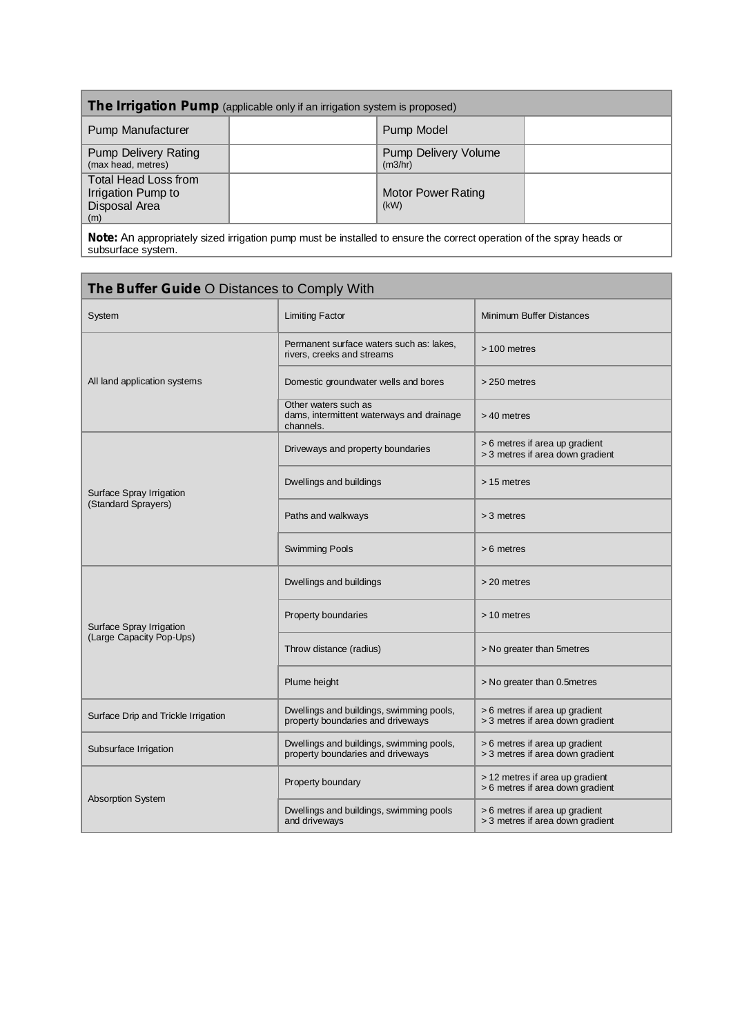| The Irrigation Pump (applicable only if an irrigation system is proposed)                                              |  |                                        |  |  |  |  |
|------------------------------------------------------------------------------------------------------------------------|--|----------------------------------------|--|--|--|--|
| <b>Pump Manufacturer</b>                                                                                               |  | Pump Model                             |  |  |  |  |
| <b>Pump Delivery Rating</b><br>(max head, metres)                                                                      |  | <b>Pump Delivery Volume</b><br>(m3/hr) |  |  |  |  |
| Total Head Loss from<br>Irrigation Pump to<br>Disposal Area<br>(m)                                                     |  | <b>Motor Power Rating</b><br>(kW)      |  |  |  |  |
| . Nata: An aggregatetric stard betreffer processes the bestelled to presently progress consider of the aggregate beach |  |                                        |  |  |  |  |

**Note:** An appropriately sized irrigation pump must be installed to ensure the correct operation of the spray heads or subsurface system.

| <b>The Buffer Guide O Distances to Comply With</b> |                                                                                |                                                                     |  |  |  |  |  |
|----------------------------------------------------|--------------------------------------------------------------------------------|---------------------------------------------------------------------|--|--|--|--|--|
| System                                             | <b>Limiting Factor</b>                                                         | <b>Minimum Buffer Distances</b>                                     |  |  |  |  |  |
|                                                    | Permanent surface waters such as: lakes,<br>rivers, creeks and streams         | > 100 metres                                                        |  |  |  |  |  |
| All land application systems                       | Domestic groundwater wells and bores                                           | > 250 metres                                                        |  |  |  |  |  |
|                                                    | Other waters such as<br>dams, intermittent waterways and drainage<br>channels. | > 40 metres                                                         |  |  |  |  |  |
|                                                    | Driveways and property boundaries                                              | > 6 metres if area up gradient<br>> 3 metres if area down gradient  |  |  |  |  |  |
| Surface Spray Irrigation                           | Dwellings and buildings                                                        | > 15 metres                                                         |  |  |  |  |  |
| (Standard Sprayers)                                | Paths and walkways                                                             | $>$ 3 metres                                                        |  |  |  |  |  |
|                                                    | <b>Swimming Pools</b>                                                          | $> 6$ metres                                                        |  |  |  |  |  |
|                                                    | Dwellings and buildings                                                        | > 20 metres                                                         |  |  |  |  |  |
| Surface Spray Irrigation                           | Property boundaries                                                            | > 10 metres                                                         |  |  |  |  |  |
| (Large Capacity Pop-Ups)                           | Throw distance (radius)                                                        | > No greater than 5 metres                                          |  |  |  |  |  |
|                                                    | Plume height                                                                   | > No greater than 0.5 metres                                        |  |  |  |  |  |
| Surface Drip and Trickle Irrigation                | Dwellings and buildings, swimming pools,<br>property boundaries and driveways  | > 6 metres if area up gradient<br>> 3 metres if area down gradient  |  |  |  |  |  |
| Subsurface Irrigation                              | Dwellings and buildings, swimming pools,<br>property boundaries and driveways  | > 6 metres if area up gradient<br>> 3 metres if area down gradient  |  |  |  |  |  |
| <b>Absorption System</b>                           | Property boundary                                                              | > 12 metres if area up gradient<br>> 6 metres if area down gradient |  |  |  |  |  |
|                                                    | Dwellings and buildings, swimming pools<br>and driveways                       | > 6 metres if area up gradient<br>> 3 metres if area down gradient  |  |  |  |  |  |